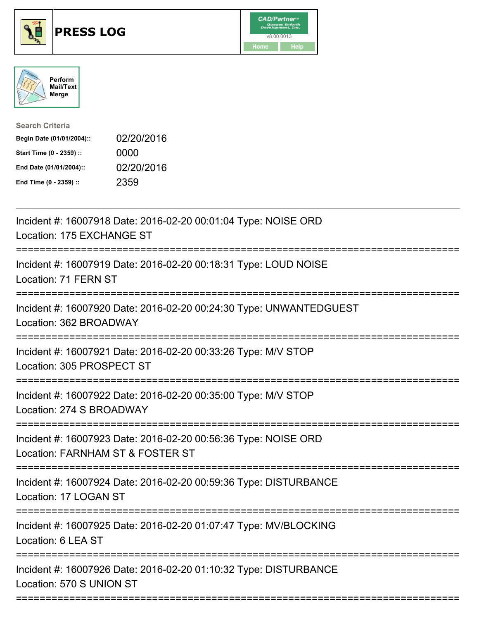





Search Criteria Begin Date (01/01/2004):: 02/20/2016 Start Time (0 - 2359) :: 0000 End Date (01/01/2004):: 02/20/2016 End Time (0 - 2359) :: 2359

| Incident #: 16007918 Date: 2016-02-20 00:01:04 Type: NOISE ORD<br>Location: 175 EXCHANGE ST        |
|----------------------------------------------------------------------------------------------------|
| Incident #: 16007919 Date: 2016-02-20 00:18:31 Type: LOUD NOISE<br>Location: 71 FERN ST            |
| Incident #: 16007920 Date: 2016-02-20 00:24:30 Type: UNWANTEDGUEST<br>Location: 362 BROADWAY       |
| Incident #: 16007921 Date: 2016-02-20 00:33:26 Type: M/V STOP<br>Location: 305 PROSPECT ST         |
| Incident #: 16007922 Date: 2016-02-20 00:35:00 Type: M/V STOP<br>Location: 274 S BROADWAY          |
| Incident #: 16007923 Date: 2016-02-20 00:56:36 Type: NOISE ORD<br>Location: FARNHAM ST & FOSTER ST |
| Incident #: 16007924 Date: 2016-02-20 00:59:36 Type: DISTURBANCE<br>Location: 17 LOGAN ST          |
| Incident #: 16007925 Date: 2016-02-20 01:07:47 Type: MV/BLOCKING<br>Location: 6 LEA ST             |
| Incident #: 16007926 Date: 2016-02-20 01:10:32 Type: DISTURBANCE<br>Location: 570 S UNION ST       |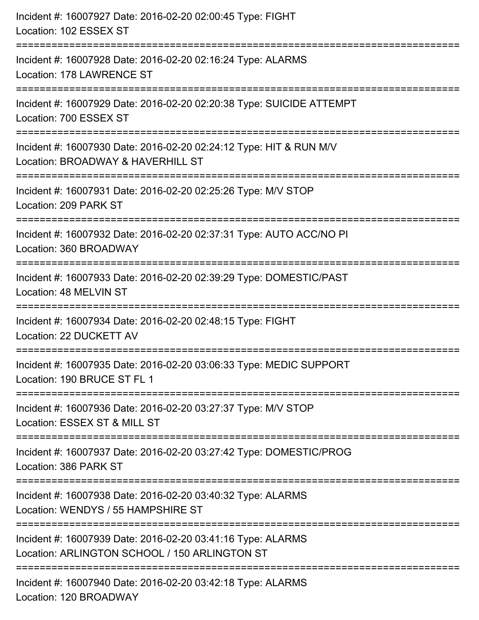| Incident #: 16007927 Date: 2016-02-20 02:00:45 Type: FIGHT<br>Location: 102 ESSEX ST                         |
|--------------------------------------------------------------------------------------------------------------|
| Incident #: 16007928 Date: 2016-02-20 02:16:24 Type: ALARMS<br>Location: 178 LAWRENCE ST                     |
| Incident #: 16007929 Date: 2016-02-20 02:20:38 Type: SUICIDE ATTEMPT<br>Location: 700 ESSEX ST               |
| Incident #: 16007930 Date: 2016-02-20 02:24:12 Type: HIT & RUN M/V<br>Location: BROADWAY & HAVERHILL ST      |
| Incident #: 16007931 Date: 2016-02-20 02:25:26 Type: M/V STOP<br>Location: 209 PARK ST                       |
| Incident #: 16007932 Date: 2016-02-20 02:37:31 Type: AUTO ACC/NO PI<br>Location: 360 BROADWAY                |
| Incident #: 16007933 Date: 2016-02-20 02:39:29 Type: DOMESTIC/PAST<br>Location: 48 MELVIN ST                 |
| Incident #: 16007934 Date: 2016-02-20 02:48:15 Type: FIGHT<br>Location: 22 DUCKETT AV                        |
| Incident #: 16007935 Date: 2016-02-20 03:06:33 Type: MEDIC SUPPORT<br>Location: 190 BRUCE ST FL 1            |
| Incident #: 16007936 Date: 2016-02-20 03:27:37 Type: M/V STOP<br>Location: ESSEX ST & MILL ST                |
| Incident #: 16007937 Date: 2016-02-20 03:27:42 Type: DOMESTIC/PROG<br>Location: 386 PARK ST                  |
| Incident #: 16007938 Date: 2016-02-20 03:40:32 Type: ALARMS<br>Location: WENDYS / 55 HAMPSHIRE ST            |
| Incident #: 16007939 Date: 2016-02-20 03:41:16 Type: ALARMS<br>Location: ARLINGTON SCHOOL / 150 ARLINGTON ST |
| Incident #: 16007940 Date: 2016-02-20 03:42:18 Type: ALARMS<br>Location: 120 BROADWAY                        |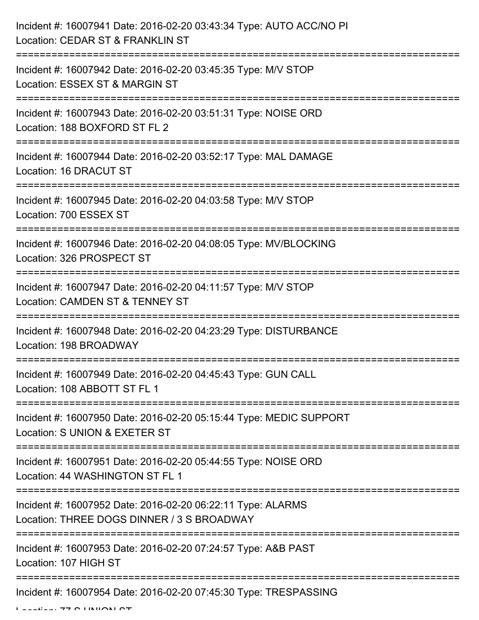| Incident #: 16007941 Date: 2016-02-20 03:43:34 Type: AUTO ACC/NO PI<br>Location: CEDAR ST & FRANKLIN ST            |
|--------------------------------------------------------------------------------------------------------------------|
| Incident #: 16007942 Date: 2016-02-20 03:45:35 Type: M/V STOP<br>Location: ESSEX ST & MARGIN ST                    |
| Incident #: 16007943 Date: 2016-02-20 03:51:31 Type: NOISE ORD<br>Location: 188 BOXFORD ST FL 2                    |
| Incident #: 16007944 Date: 2016-02-20 03:52:17 Type: MAL DAMAGE<br>Location: 16 DRACUT ST                          |
| Incident #: 16007945 Date: 2016-02-20 04:03:58 Type: M/V STOP<br>Location: 700 ESSEX ST                            |
| Incident #: 16007946 Date: 2016-02-20 04:08:05 Type: MV/BLOCKING<br>Location: 326 PROSPECT ST                      |
| Incident #: 16007947 Date: 2016-02-20 04:11:57 Type: M/V STOP<br>Location: CAMDEN ST & TENNEY ST                   |
| Incident #: 16007948 Date: 2016-02-20 04:23:29 Type: DISTURBANCE<br>Location: 198 BROADWAY                         |
| Incident #: 16007949 Date: 2016-02-20 04:45:43 Type: GUN CALL<br>Location: 108 ABBOTT ST FL 1                      |
| Incident #: 16007950 Date: 2016-02-20 05:15:44 Type: MEDIC SUPPORT<br>Location: S UNION & EXETER ST                |
| Incident #: 16007951 Date: 2016-02-20 05:44:55 Type: NOISE ORD<br>Location: 44 WASHINGTON ST FL 1                  |
| Incident #: 16007952 Date: 2016-02-20 06:22:11 Type: ALARMS<br>Location: THREE DOGS DINNER / 3 S BROADWAY          |
| ========================<br>Incident #: 16007953 Date: 2016-02-20 07:24:57 Type: A&B PAST<br>Location: 107 HIGH ST |
| Incident #: 16007954 Date: 2016-02-20 07:45:30 Type: TRESPASSING                                                   |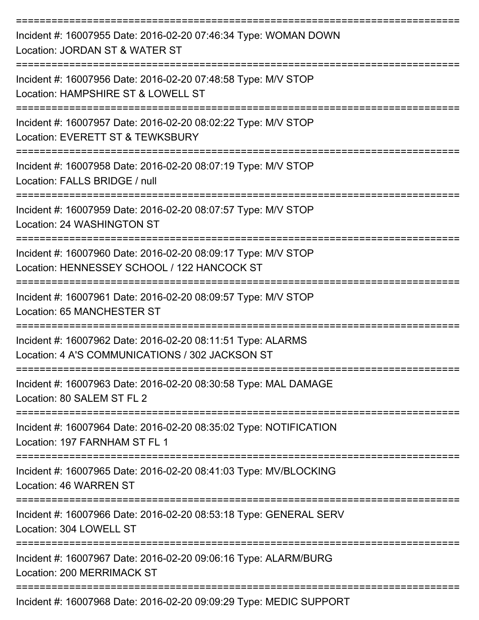| Incident #: 16007955 Date: 2016-02-20 07:46:34 Type: WOMAN DOWN<br>Location: JORDAN ST & WATER ST              |
|----------------------------------------------------------------------------------------------------------------|
| Incident #: 16007956 Date: 2016-02-20 07:48:58 Type: M/V STOP<br>Location: HAMPSHIRE ST & LOWELL ST            |
| Incident #: 16007957 Date: 2016-02-20 08:02:22 Type: M/V STOP<br>Location: EVERETT ST & TEWKSBURY              |
| Incident #: 16007958 Date: 2016-02-20 08:07:19 Type: M/V STOP<br>Location: FALLS BRIDGE / null                 |
| Incident #: 16007959 Date: 2016-02-20 08:07:57 Type: M/V STOP<br>Location: 24 WASHINGTON ST                    |
| Incident #: 16007960 Date: 2016-02-20 08:09:17 Type: M/V STOP<br>Location: HENNESSEY SCHOOL / 122 HANCOCK ST   |
| Incident #: 16007961 Date: 2016-02-20 08:09:57 Type: M/V STOP<br>Location: 65 MANCHESTER ST                    |
| Incident #: 16007962 Date: 2016-02-20 08:11:51 Type: ALARMS<br>Location: 4 A'S COMMUNICATIONS / 302 JACKSON ST |
| Incident #: 16007963 Date: 2016-02-20 08:30:58 Type: MAL DAMAGE<br>Location: 80 SALEM ST FL 2                  |
| Incident #: 16007964 Date: 2016-02-20 08:35:02 Type: NOTIFICATION<br>Location: 197 FARNHAM ST FL 1             |
| Incident #: 16007965 Date: 2016-02-20 08:41:03 Type: MV/BLOCKING<br>Location: 46 WARREN ST                     |
| Incident #: 16007966 Date: 2016-02-20 08:53:18 Type: GENERAL SERV<br>Location: 304 LOWELL ST                   |
| Incident #: 16007967 Date: 2016-02-20 09:06:16 Type: ALARM/BURG<br><b>Location: 200 MERRIMACK ST</b>           |
|                                                                                                                |

Incident #: 16007968 Date: 2016-02-20 09:09:29 Type: MEDIC SUPPORT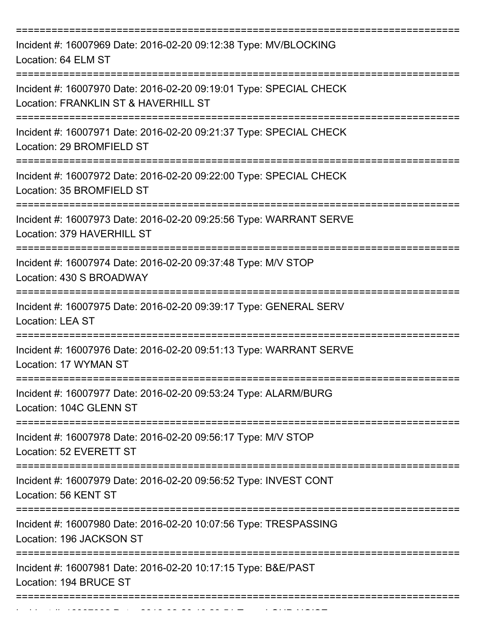| Incident #: 16007969 Date: 2016-02-20 09:12:38 Type: MV/BLOCKING<br>Location: 64 ELM ST                    |
|------------------------------------------------------------------------------------------------------------|
| Incident #: 16007970 Date: 2016-02-20 09:19:01 Type: SPECIAL CHECK<br>Location: FRANKLIN ST & HAVERHILL ST |
| Incident #: 16007971 Date: 2016-02-20 09:21:37 Type: SPECIAL CHECK<br>Location: 29 BROMFIELD ST            |
| Incident #: 16007972 Date: 2016-02-20 09:22:00 Type: SPECIAL CHECK<br>Location: 35 BROMFIELD ST            |
| Incident #: 16007973 Date: 2016-02-20 09:25:56 Type: WARRANT SERVE<br>Location: 379 HAVERHILL ST           |
| Incident #: 16007974 Date: 2016-02-20 09:37:48 Type: M/V STOP<br>Location: 430 S BROADWAY                  |
| Incident #: 16007975 Date: 2016-02-20 09:39:17 Type: GENERAL SERV<br><b>Location: LEA ST</b>               |
| Incident #: 16007976 Date: 2016-02-20 09:51:13 Type: WARRANT SERVE<br>Location: 17 WYMAN ST                |
| Incident #: 16007977 Date: 2016-02-20 09:53:24 Type: ALARM/BURG<br>Location: 104C GLENN ST                 |
| Incident #: 16007978 Date: 2016-02-20 09:56:17 Type: M/V STOP<br>Location: 52 EVERETT ST                   |
| Incident #: 16007979 Date: 2016-02-20 09:56:52 Type: INVEST CONT<br>Location: 56 KENT ST                   |
| Incident #: 16007980 Date: 2016-02-20 10:07:56 Type: TRESPASSING<br>Location: 196 JACKSON ST               |
| Incident #: 16007981 Date: 2016-02-20 10:17:15 Type: B&E/PAST<br>Location: 194 BRUCE ST                    |
|                                                                                                            |

Incident #: 16007982 Date: 2016 02 2016 02 2016 02 2016 02 2016 02 2016 02 2016 02 2016 02 2016 02 2016 02 20<br>.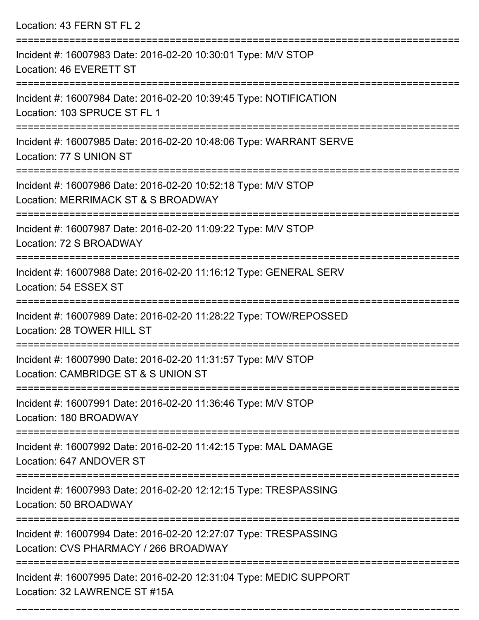Location: 43 FERN ST FL 2

| Incident #: 16007983 Date: 2016-02-20 10:30:01 Type: M/V STOP<br>Location: 46 EVERETT ST                             |
|----------------------------------------------------------------------------------------------------------------------|
| Incident #: 16007984 Date: 2016-02-20 10:39:45 Type: NOTIFICATION<br>Location: 103 SPRUCE ST FL 1                    |
| Incident #: 16007985 Date: 2016-02-20 10:48:06 Type: WARRANT SERVE<br>Location: 77 S UNION ST                        |
| Incident #: 16007986 Date: 2016-02-20 10:52:18 Type: M/V STOP<br>Location: MERRIMACK ST & S BROADWAY                 |
| ========================<br>Incident #: 16007987 Date: 2016-02-20 11:09:22 Type: M/V STOP<br>Location: 72 S BROADWAY |
| Incident #: 16007988 Date: 2016-02-20 11:16:12 Type: GENERAL SERV<br>Location: 54 ESSEX ST                           |
| Incident #: 16007989 Date: 2016-02-20 11:28:22 Type: TOW/REPOSSED<br>Location: 28 TOWER HILL ST                      |
| Incident #: 16007990 Date: 2016-02-20 11:31:57 Type: M/V STOP<br>Location: CAMBRIDGE ST & S UNION ST                 |
| Incident #: 16007991 Date: 2016-02-20 11:36:46 Type: M/V STOP<br>Location: 180 BROADWAY                              |
| Incident #: 16007992 Date: 2016-02-20 11:42:15 Type: MAL DAMAGE<br>Location: 647 ANDOVER ST                          |
| Incident #: 16007993 Date: 2016-02-20 12:12:15 Type: TRESPASSING<br>Location: 50 BROADWAY                            |
| Incident #: 16007994 Date: 2016-02-20 12:27:07 Type: TRESPASSING<br>Location: CVS PHARMACY / 266 BROADWAY            |
| Incident #: 16007995 Date: 2016-02-20 12:31:04 Type: MEDIC SUPPORT<br>Location: 32 LAWRENCE ST #15A                  |

===========================================================================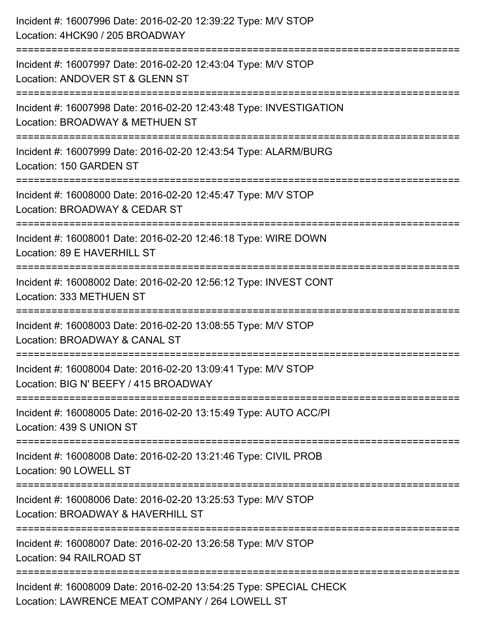| Incident #: 16007996 Date: 2016-02-20 12:39:22 Type: M/V STOP<br>Location: 4HCK90 / 205 BROADWAY                      |
|-----------------------------------------------------------------------------------------------------------------------|
| Incident #: 16007997 Date: 2016-02-20 12:43:04 Type: M/V STOP<br>Location: ANDOVER ST & GLENN ST                      |
| Incident #: 16007998 Date: 2016-02-20 12:43:48 Type: INVESTIGATION<br>Location: BROADWAY & METHUEN ST                 |
| Incident #: 16007999 Date: 2016-02-20 12:43:54 Type: ALARM/BURG<br>Location: 150 GARDEN ST                            |
| Incident #: 16008000 Date: 2016-02-20 12:45:47 Type: M/V STOP<br>Location: BROADWAY & CEDAR ST                        |
| Incident #: 16008001 Date: 2016-02-20 12:46:18 Type: WIRE DOWN<br>Location: 89 E HAVERHILL ST                         |
| Incident #: 16008002 Date: 2016-02-20 12:56:12 Type: INVEST CONT<br>Location: 333 METHUEN ST                          |
| Incident #: 16008003 Date: 2016-02-20 13:08:55 Type: M/V STOP<br>Location: BROADWAY & CANAL ST                        |
| Incident #: 16008004 Date: 2016-02-20 13:09:41 Type: M/V STOP<br>Location: BIG N' BEEFY / 415 BROADWAY                |
| Incident #: 16008005 Date: 2016-02-20 13:15:49 Type: AUTO ACC/PI<br>Location: 439 S UNION ST                          |
| Incident #: 16008008 Date: 2016-02-20 13:21:46 Type: CIVIL PROB<br>Location: 90 LOWELL ST                             |
| Incident #: 16008006 Date: 2016-02-20 13:25:53 Type: M/V STOP<br>Location: BROADWAY & HAVERHILL ST                    |
| Incident #: 16008007 Date: 2016-02-20 13:26:58 Type: M/V STOP<br>Location: 94 RAILROAD ST                             |
| Incident #: 16008009 Date: 2016-02-20 13:54:25 Type: SPECIAL CHECK<br>Location: LAWRENCE MEAT COMPANY / 264 LOWELL ST |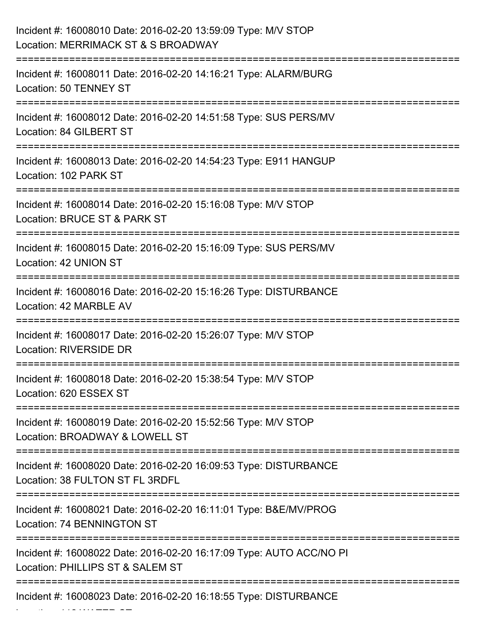| Incident #: 16008010 Date: 2016-02-20 13:59:09 Type: M/V STOP<br>Location: MERRIMACK ST & S BROADWAY    |
|---------------------------------------------------------------------------------------------------------|
| Incident #: 16008011 Date: 2016-02-20 14:16:21 Type: ALARM/BURG<br>Location: 50 TENNEY ST               |
| Incident #: 16008012 Date: 2016-02-20 14:51:58 Type: SUS PERS/MV<br>Location: 84 GILBERT ST             |
| Incident #: 16008013 Date: 2016-02-20 14:54:23 Type: E911 HANGUP<br>Location: 102 PARK ST               |
| Incident #: 16008014 Date: 2016-02-20 15:16:08 Type: M/V STOP<br>Location: BRUCE ST & PARK ST           |
| Incident #: 16008015 Date: 2016-02-20 15:16:09 Type: SUS PERS/MV<br>Location: 42 UNION ST               |
| Incident #: 16008016 Date: 2016-02-20 15:16:26 Type: DISTURBANCE<br>Location: 42 MARBLE AV              |
| Incident #: 16008017 Date: 2016-02-20 15:26:07 Type: M/V STOP<br>Location: RIVERSIDE DR                 |
| Incident #: 16008018 Date: 2016-02-20 15:38:54 Type: M/V STOP<br>Location: 620 ESSEX ST                 |
| Incident #: 16008019 Date: 2016-02-20 15:52:56 Type: M/V STOP<br>Location: BROADWAY & LOWELL ST         |
| Incident #: 16008020 Date: 2016-02-20 16:09:53 Type: DISTURBANCE<br>Location: 38 FULTON ST FL 3RDFL     |
| Incident #: 16008021 Date: 2016-02-20 16:11:01 Type: B&E/MV/PROG<br>Location: 74 BENNINGTON ST          |
| Incident #: 16008022 Date: 2016-02-20 16:17:09 Type: AUTO ACC/NO PI<br>Location: PHILLIPS ST & SALEM ST |
| Incident #: 16008023 Date: 2016-02-20 16:18:55 Type: DISTURBANCE                                        |

Location: 112 WATER ST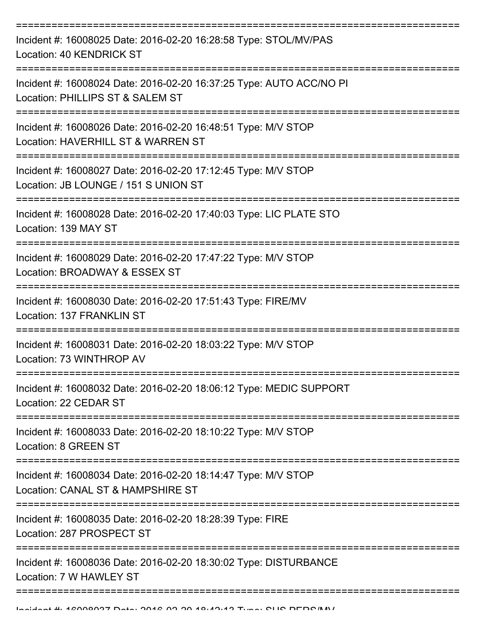| Incident #: 16008025 Date: 2016-02-20 16:28:58 Type: STOL/MV/PAS<br>Location: 40 KENDRICK ST            |
|---------------------------------------------------------------------------------------------------------|
| Incident #: 16008024 Date: 2016-02-20 16:37:25 Type: AUTO ACC/NO PI<br>Location: PHILLIPS ST & SALEM ST |
| Incident #: 16008026 Date: 2016-02-20 16:48:51 Type: M/V STOP<br>Location: HAVERHILL ST & WARREN ST     |
| Incident #: 16008027 Date: 2016-02-20 17:12:45 Type: M/V STOP<br>Location: JB LOUNGE / 151 S UNION ST   |
| Incident #: 16008028 Date: 2016-02-20 17:40:03 Type: LIC PLATE STO<br>Location: 139 MAY ST              |
| Incident #: 16008029 Date: 2016-02-20 17:47:22 Type: M/V STOP<br>Location: BROADWAY & ESSEX ST          |
| Incident #: 16008030 Date: 2016-02-20 17:51:43 Type: FIRE/MV<br><b>Location: 137 FRANKLIN ST</b>        |
| Incident #: 16008031 Date: 2016-02-20 18:03:22 Type: M/V STOP<br>Location: 73 WINTHROP AV               |
| Incident #: 16008032 Date: 2016-02-20 18:06:12 Type: MEDIC SUPPORT<br>Location: 22 CEDAR ST             |
| Incident #: 16008033 Date: 2016-02-20 18:10:22 Type: M/V STOP<br>Location: 8 GREEN ST                   |
| Incident #: 16008034 Date: 2016-02-20 18:14:47 Type: M/V STOP<br>Location: CANAL ST & HAMPSHIRE ST      |
| Incident #: 16008035 Date: 2016-02-20 18:28:39 Type: FIRE<br>Location: 287 PROSPECT ST                  |
| Incident #: 16008036 Date: 2016-02-20 18:30:02 Type: DISTURBANCE<br>Location: 7 W HAWLEY ST             |
|                                                                                                         |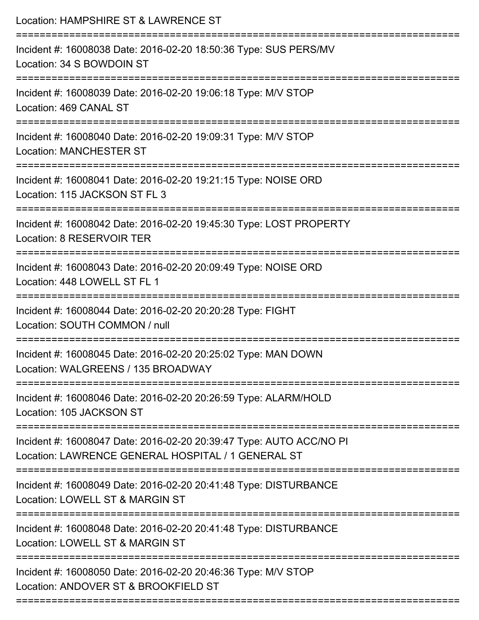| Location: HAMPSHIRE ST & LAWRENCE ST                                                                                      |
|---------------------------------------------------------------------------------------------------------------------------|
| Incident #: 16008038 Date: 2016-02-20 18:50:36 Type: SUS PERS/MV<br>Location: 34 S BOWDOIN ST                             |
| Incident #: 16008039 Date: 2016-02-20 19:06:18 Type: M/V STOP<br>Location: 469 CANAL ST                                   |
| Incident #: 16008040 Date: 2016-02-20 19:09:31 Type: M/V STOP<br><b>Location: MANCHESTER ST</b>                           |
| Incident #: 16008041 Date: 2016-02-20 19:21:15 Type: NOISE ORD<br>Location: 115 JACKSON ST FL 3                           |
| Incident #: 16008042 Date: 2016-02-20 19:45:30 Type: LOST PROPERTY<br>Location: 8 RESERVOIR TER                           |
| Incident #: 16008043 Date: 2016-02-20 20:09:49 Type: NOISE ORD<br>Location: 448 LOWELL ST FL 1                            |
| Incident #: 16008044 Date: 2016-02-20 20:20:28 Type: FIGHT<br>Location: SOUTH COMMON / null                               |
| Incident #: 16008045 Date: 2016-02-20 20:25:02 Type: MAN DOWN<br>Location: WALGREENS / 135 BROADWAY                       |
| Incident #: 16008046 Date: 2016-02-20 20:26:59 Type: ALARM/HOLD<br>Location: 105 JACKSON ST                               |
| Incident #: 16008047 Date: 2016-02-20 20:39:47 Type: AUTO ACC/NO PI<br>Location: LAWRENCE GENERAL HOSPITAL / 1 GENERAL ST |
| Incident #: 16008049 Date: 2016-02-20 20:41:48 Type: DISTURBANCE<br>Location: LOWELL ST & MARGIN ST                       |
| Incident #: 16008048 Date: 2016-02-20 20:41:48 Type: DISTURBANCE<br>Location: LOWELL ST & MARGIN ST                       |
| Incident #: 16008050 Date: 2016-02-20 20:46:36 Type: M/V STOP<br>Location: ANDOVER ST & BROOKFIELD ST                     |
|                                                                                                                           |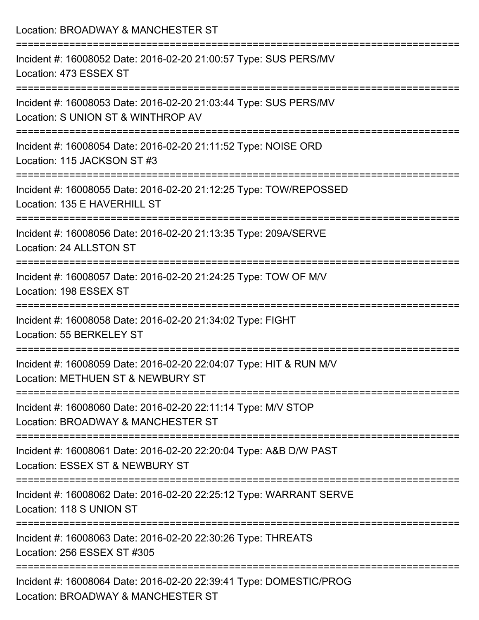Location: BROADWAY & MANCHESTER ST

| Incident #: 16008052 Date: 2016-02-20 21:00:57 Type: SUS PERS/MV<br>Location: 473 ESSEX ST               |
|----------------------------------------------------------------------------------------------------------|
| Incident #: 16008053 Date: 2016-02-20 21:03:44 Type: SUS PERS/MV<br>Location: S UNION ST & WINTHROP AV   |
| Incident #: 16008054 Date: 2016-02-20 21:11:52 Type: NOISE ORD<br>Location: 115 JACKSON ST #3            |
| Incident #: 16008055 Date: 2016-02-20 21:12:25 Type: TOW/REPOSSED<br>Location: 135 E HAVERHILL ST        |
| Incident #: 16008056 Date: 2016-02-20 21:13:35 Type: 209A/SERVE<br>Location: 24 ALLSTON ST               |
| Incident #: 16008057 Date: 2016-02-20 21:24:25 Type: TOW OF M/V<br>Location: 198 ESSEX ST                |
| Incident #: 16008058 Date: 2016-02-20 21:34:02 Type: FIGHT<br>Location: 55 BERKELEY ST                   |
| Incident #: 16008059 Date: 2016-02-20 22:04:07 Type: HIT & RUN M/V<br>Location: METHUEN ST & NEWBURY ST  |
| Incident #: 16008060 Date: 2016-02-20 22:11:14 Type: M/V STOP<br>Location: BROADWAY & MANCHESTER ST      |
| Incident #: 16008061 Date: 2016-02-20 22:20:04 Type: A&B D/W PAST<br>Location: ESSEX ST & NEWBURY ST     |
| Incident #: 16008062 Date: 2016-02-20 22:25:12 Type: WARRANT SERVE<br>Location: 118 S UNION ST           |
| Incident #: 16008063 Date: 2016-02-20 22:30:26 Type: THREATS<br>Location: 256 ESSEX ST #305              |
| Incident #: 16008064 Date: 2016-02-20 22:39:41 Type: DOMESTIC/PROG<br>Location: BROADWAY & MANCHESTER ST |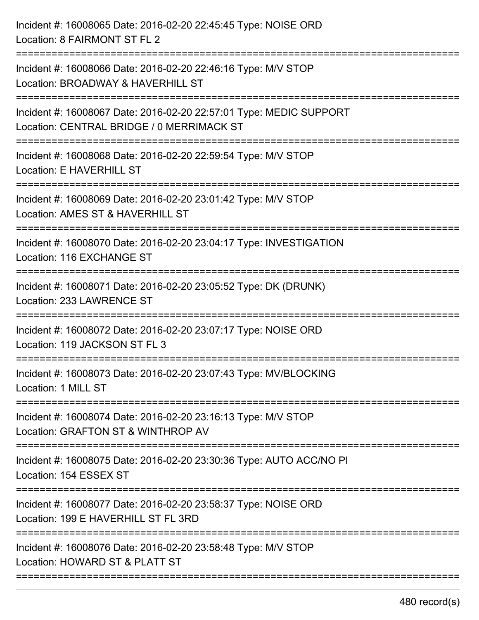| Incident #: 16008065 Date: 2016-02-20 22:45:45 Type: NOISE ORD<br>Location: 8 FAIRMONT ST FL 2                  |
|-----------------------------------------------------------------------------------------------------------------|
| Incident #: 16008066 Date: 2016-02-20 22:46:16 Type: M/V STOP<br>Location: BROADWAY & HAVERHILL ST              |
| Incident #: 16008067 Date: 2016-02-20 22:57:01 Type: MEDIC SUPPORT<br>Location: CENTRAL BRIDGE / 0 MERRIMACK ST |
| Incident #: 16008068 Date: 2016-02-20 22:59:54 Type: M/V STOP<br>Location: E HAVERHILL ST                       |
| Incident #: 16008069 Date: 2016-02-20 23:01:42 Type: M/V STOP<br>Location: AMES ST & HAVERHILL ST               |
| Incident #: 16008070 Date: 2016-02-20 23:04:17 Type: INVESTIGATION<br>Location: 116 EXCHANGE ST                 |
| Incident #: 16008071 Date: 2016-02-20 23:05:52 Type: DK (DRUNK)<br>Location: 233 LAWRENCE ST                    |
| Incident #: 16008072 Date: 2016-02-20 23:07:17 Type: NOISE ORD<br>Location: 119 JACKSON ST FL 3                 |
| Incident #: 16008073 Date: 2016-02-20 23:07:43 Type: MV/BLOCKING<br>Location: 1 MILL ST                         |
| Incident #: 16008074 Date: 2016-02-20 23:16:13 Type: M/V STOP<br>Location: GRAFTON ST & WINTHROP AV             |
| Incident #: 16008075 Date: 2016-02-20 23:30:36 Type: AUTO ACC/NO PI<br>Location: 154 ESSEX ST                   |
| Incident #: 16008077 Date: 2016-02-20 23:58:37 Type: NOISE ORD<br>Location: 199 E HAVERHILL ST FL 3RD           |
| Incident #: 16008076 Date: 2016-02-20 23:58:48 Type: M/V STOP<br>Location: HOWARD ST & PLATT ST                 |